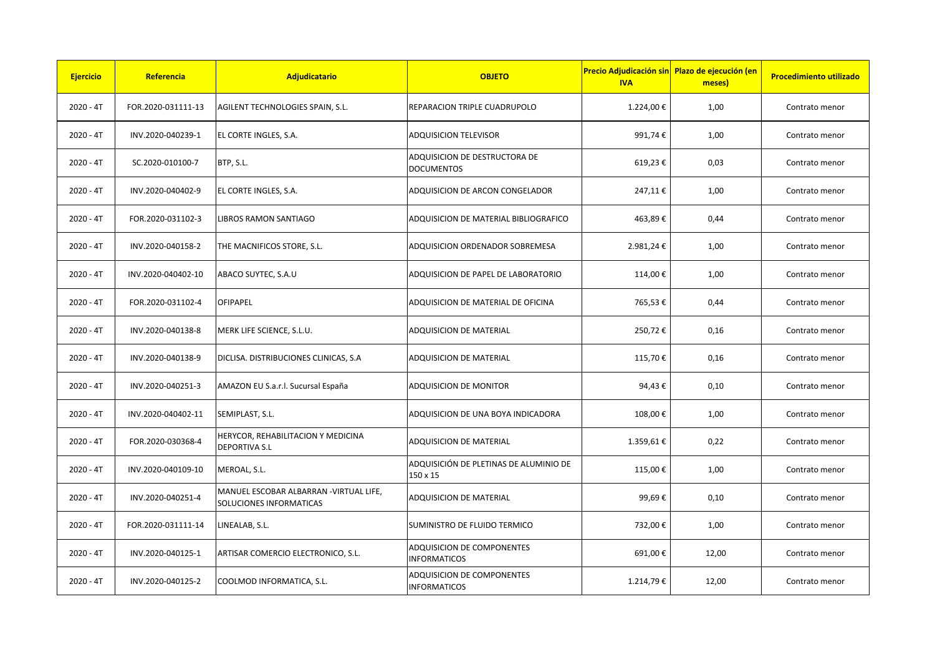| <b>Ejercicio</b> | Referencia         | Adjudicatario                                                     | <b>OBJETO</b>                                            | <b>Precio Adjudicación sin  Plazo de ejecución (en</b><br><b>IVA</b> | meses) | <b>Procedimiento utilizado</b> |
|------------------|--------------------|-------------------------------------------------------------------|----------------------------------------------------------|----------------------------------------------------------------------|--------|--------------------------------|
| $2020 - 4T$      | FOR.2020-031111-13 | AGILENT TECHNOLOGIES SPAIN, S.L.                                  | REPARACION TRIPLE CUADRUPOLO                             | 1.224,00€                                                            | 1,00   | Contrato menor                 |
| $2020 - 4T$      | INV.2020-040239-1  | EL CORTE INGLES, S.A.                                             | <b>ADQUISICION TELEVISOR</b>                             | 991,74€                                                              | 1,00   | Contrato menor                 |
| $2020 - 4T$      | SC.2020-010100-7   | BTP, S.L.                                                         | ADQUISICION DE DESTRUCTORA DE<br><b>DOCUMENTOS</b>       | 619,23€                                                              | 0,03   | Contrato menor                 |
| $2020 - 4T$      | INV.2020-040402-9  | EL CORTE INGLES, S.A.                                             | ADQUISICION DE ARCON CONGELADOR                          | 247,11€                                                              | 1,00   | Contrato menor                 |
| $2020 - 4T$      | FOR.2020-031102-3  | LIBROS RAMON SANTIAGO                                             | ADQUISICION DE MATERIAL BIBLIOGRAFICO                    | 463,89€                                                              | 0,44   | Contrato menor                 |
| $2020 - 4T$      | INV.2020-040158-2  | THE MACNIFICOS STORE, S.L.                                        | ADQUISICION ORDENADOR SOBREMESA                          | 2.981,24€                                                            | 1,00   | Contrato menor                 |
| $2020 - 4T$      | INV.2020-040402-10 | ABACO SUYTEC, S.A.U                                               | ADQUISICION DE PAPEL DE LABORATORIO                      | 114,00€                                                              | 1,00   | Contrato menor                 |
| $2020 - 4T$      | FOR.2020-031102-4  | OFIPAPEL                                                          | ADQUISICION DE MATERIAL DE OFICINA                       | 765,53€                                                              | 0,44   | Contrato menor                 |
| $2020 - 4T$      | INV.2020-040138-8  | MERK LIFE SCIENCE, S.L.U.                                         | ADQUISICION DE MATERIAL                                  | 250,72€                                                              | 0,16   | Contrato menor                 |
| $2020 - 4T$      | INV.2020-040138-9  | DICLISA. DISTRIBUCIONES CLINICAS, S.A                             | ADQUISICION DE MATERIAL                                  | 115,70€                                                              | 0,16   | Contrato menor                 |
| $2020 - 4T$      | INV.2020-040251-3  | AMAZON EU S.a.r.l. Sucursal España                                | ADQUISICION DE MONITOR                                   | 94,43€                                                               | 0,10   | Contrato menor                 |
| $2020 - 4T$      | INV.2020-040402-11 | SEMIPLAST, S.L.                                                   | ADQUISICION DE UNA BOYA INDICADORA                       | 108,00€                                                              | 1,00   | Contrato menor                 |
| $2020 - 4T$      | FOR.2020-030368-4  | HERYCOR, REHABILITACION Y MEDICINA<br>DEPORTIVA S.L               | ADQUISICION DE MATERIAL                                  | 1.359,61€                                                            | 0,22   | Contrato menor                 |
| $2020 - 4T$      | INV.2020-040109-10 | MEROAL, S.L.                                                      | ADQUISICIÓN DE PLETINAS DE ALUMINIO DE<br>150 x 15       | 115,00€                                                              | 1,00   | Contrato menor                 |
| $2020 - 4T$      | INV.2020-040251-4  | MANUEL ESCOBAR ALBARRAN -VIRTUAL LIFE,<br>SOLUCIONES INFORMATICAS | ADQUISICION DE MATERIAL                                  | 99,69€                                                               | 0,10   | Contrato menor                 |
| $2020 - 4T$      | FOR.2020-031111-14 | LINEALAB, S.L.                                                    | SUMINISTRO DE FLUIDO TERMICO                             | 732,00€                                                              | 1,00   | Contrato menor                 |
| $2020 - 4T$      | INV.2020-040125-1  | ARTISAR COMERCIO ELECTRONICO, S.L.                                | <b>ADQUISICION DE COMPONENTES</b><br><b>INFORMATICOS</b> | 691,00€                                                              | 12,00  | Contrato menor                 |
| $2020 - 4T$      | INV.2020-040125-2  | COOLMOD INFORMATICA, S.L.                                         | ADQUISICION DE COMPONENTES<br><b>INFORMATICOS</b>        | 1.214,79€                                                            | 12,00  | Contrato menor                 |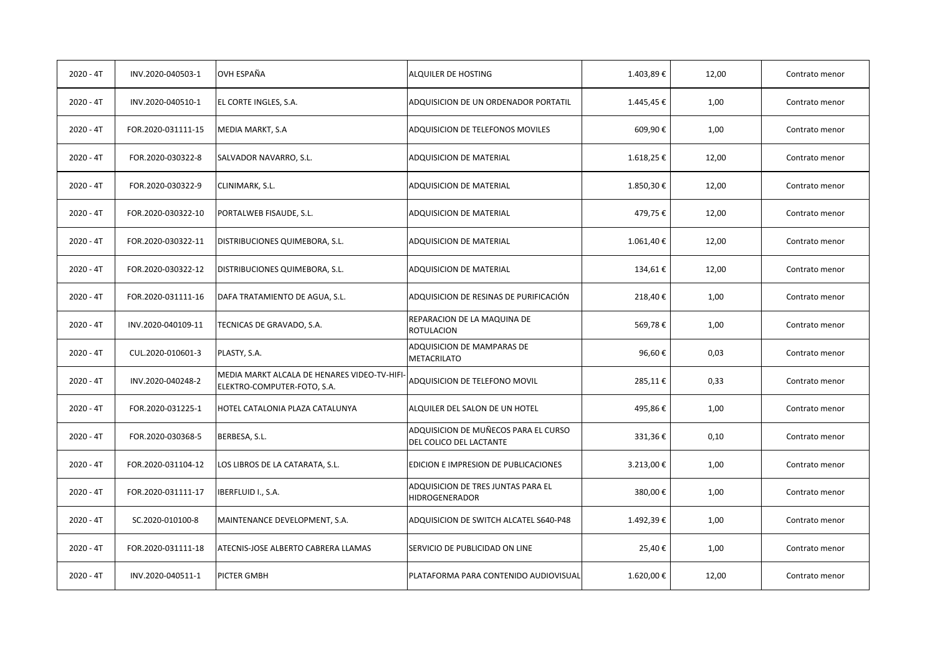| $2020 - 4T$ | INV.2020-040503-1  | OVH ESPAÑA                                                                 | ALQUILER DE HOSTING                                             | 1.403,89€ | 12,00 | Contrato menor |
|-------------|--------------------|----------------------------------------------------------------------------|-----------------------------------------------------------------|-----------|-------|----------------|
| $2020 - 4T$ | INV.2020-040510-1  | EL CORTE INGLES, S.A.                                                      | ADQUISICION DE UN ORDENADOR PORTATIL                            | 1.445,45€ | 1,00  | Contrato menor |
| $2020 - 4T$ | FOR.2020-031111-15 | MEDIA MARKT, S.A                                                           | ADQUISICION DE TELEFONOS MOVILES                                | 609,90€   | 1,00  | Contrato menor |
| $2020 - 4T$ | FOR.2020-030322-8  | SALVADOR NAVARRO, S.L.                                                     | <b>ADQUISICION DE MATERIAL</b>                                  | 1.618,25€ | 12,00 | Contrato menor |
| $2020 - 4T$ | FOR.2020-030322-9  | CLINIMARK, S.L.                                                            | ADQUISICION DE MATERIAL                                         | 1.850,30€ | 12,00 | Contrato menor |
| $2020 - 4T$ | FOR.2020-030322-10 | PORTALWEB FISAUDE, S.L.                                                    | ADQUISICION DE MATERIAL                                         | 479,75€   | 12,00 | Contrato menor |
| $2020 - 4T$ | FOR.2020-030322-11 | DISTRIBUCIONES QUIMEBORA, S.L.                                             | ADQUISICION DE MATERIAL                                         | 1.061,40€ | 12,00 | Contrato menor |
| $2020 - 4T$ | FOR.2020-030322-12 | DISTRIBUCIONES QUIMEBORA, S.L.                                             | ADQUISICION DE MATERIAL                                         | 134,61€   | 12,00 | Contrato menor |
| $2020 - 4T$ | FOR.2020-031111-16 | DAFA TRATAMIENTO DE AGUA, S.L.                                             | ADQUISICION DE RESINAS DE PURIFICACIÓN                          | 218,40€   | 1,00  | Contrato menor |
| $2020 - 4T$ | INV.2020-040109-11 | TECNICAS DE GRAVADO, S.A.                                                  | REPARACION DE LA MAQUINA DE<br><b>ROTULACION</b>                | 569,78€   | 1,00  | Contrato menor |
| $2020 - 4T$ | CUL.2020-010601-3  | PLASTY, S.A.                                                               | ADQUISICION DE MAMPARAS DE<br><b>METACRILATO</b>                | 96,60€    | 0,03  | Contrato menor |
| $2020 - 4T$ | INV.2020-040248-2  | MEDIA MARKT ALCALA DE HENARES VIDEO-TV-HIFI<br>ELEKTRO-COMPUTER-FOTO, S.A. | ADQUISICION DE TELEFONO MOVIL                                   | 285,11€   | 0,33  | Contrato menor |
| $2020 - 4T$ | FOR.2020-031225-1  | HOTEL CATALONIA PLAZA CATALUNYA                                            | ALQUILER DEL SALON DE UN HOTEL                                  | 495,86€   | 1,00  | Contrato menor |
| $2020 - 4T$ | FOR.2020-030368-5  | BERBESA, S.L.                                                              | ADQUISICION DE MUÑECOS PARA EL CURSO<br>DEL COLICO DEL LACTANTE | 331,36€   | 0,10  | Contrato menor |
| $2020 - 4T$ | FOR.2020-031104-12 | LOS LIBROS DE LA CATARATA, S.L.                                            | EDICION E IMPRESION DE PUBLICACIONES                            | 3.213,00€ | 1,00  | Contrato menor |
| $2020 - 4T$ | FOR.2020-031111-17 | IBERFLUID I., S.A.                                                         | ADQUISICION DE TRES JUNTAS PARA EL<br><b>HIDROGENERADOR</b>     | 380,00€   | 1,00  | Contrato menor |
| $2020 - 4T$ | SC.2020-010100-8   | MAINTENANCE DEVELOPMENT, S.A.                                              | ADQUISICION DE SWITCH ALCATEL S640-P48                          | 1.492,39€ | 1,00  | Contrato menor |
| $2020 - 4T$ | FOR.2020-031111-18 | ATECNIS-JOSE ALBERTO CABRERA LLAMAS                                        | SERVICIO DE PUBLICIDAD ON LINE                                  | 25,40€    | 1,00  | Contrato menor |
| $2020 - 4T$ | INV.2020-040511-1  | PICTER GMBH                                                                | PLATAFORMA PARA CONTENIDO AUDIOVISUAL                           | 1.620,00€ | 12,00 | Contrato menor |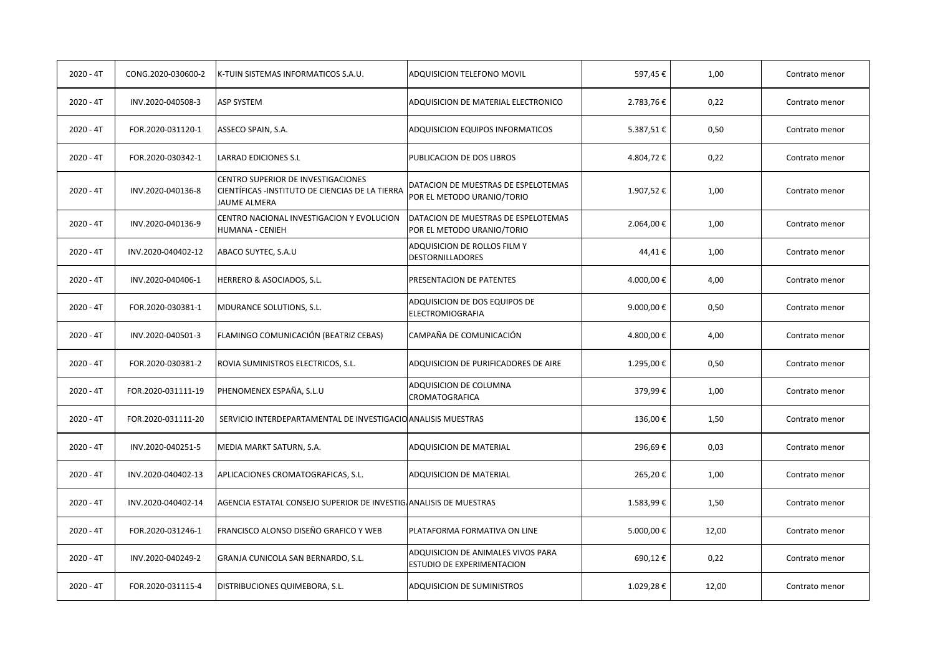| $2020 - 4T$ | CONG.2020-030600-2 | K-TUIN SISTEMAS INFORMATICOS S.A.U.                                                                          | ADQUISICION TELEFONO MOVIL                                        | 597,45€   | 1,00  | Contrato menor |
|-------------|--------------------|--------------------------------------------------------------------------------------------------------------|-------------------------------------------------------------------|-----------|-------|----------------|
| $2020 - 4T$ | INV.2020-040508-3  | <b>ASP SYSTEM</b>                                                                                            | ADQUISICION DE MATERIAL ELECTRONICO                               | 2.783,76€ | 0,22  | Contrato menor |
| $2020 - 4T$ | FOR.2020-031120-1  | ASSECO SPAIN, S.A.                                                                                           | ADQUISICION EQUIPOS INFORMATICOS                                  | 5.387,51€ | 0,50  | Contrato menor |
| $2020 - 4T$ | FOR.2020-030342-1  | LARRAD EDICIONES S.L                                                                                         | PUBLICACION DE DOS LIBROS                                         | 4.804,72€ | 0,22  | Contrato menor |
| $2020 - 4T$ | INV.2020-040136-8  | CENTRO SUPERIOR DE INVESTIGACIONES<br>CIENTÍFICAS -INSTITUTO DE CIENCIAS DE LA TIERRA<br><b>JAUME ALMERA</b> | DATACION DE MUESTRAS DE ESPELOTEMAS<br>POR EL METODO URANIO/TORIO | 1.907,52€ | 1,00  | Contrato menor |
| $2020 - 4T$ | INV.2020-040136-9  | CENTRO NACIONAL INVESTIGACION Y EVOLUCION<br>HUMANA - CENIEH                                                 | DATACION DE MUESTRAS DE ESPELOTEMAS<br>POR EL METODO URANIO/TORIO | 2.064,00€ | 1,00  | Contrato menor |
| $2020 - 4T$ | INV.2020-040402-12 | ABACO SUYTEC, S.A.U                                                                                          | ADQUISICION DE ROLLOS FILM Y<br><b>DESTORNILLADORES</b>           | 44,41€    | 1,00  | Contrato menor |
| $2020 - 4T$ | INV.2020-040406-1  | HERRERO & ASOCIADOS, S.L.                                                                                    | PRESENTACION DE PATENTES                                          | 4.000,00€ | 4,00  | Contrato menor |
| $2020 - 4T$ | FOR.2020-030381-1  | MDURANCE SOLUTIONS, S.L.                                                                                     | ADQUISICION DE DOS EQUIPOS DE<br>ELECTROMIOGRAFIA                 | 9.000,00€ | 0,50  | Contrato menor |
| $2020 - 4T$ | INV.2020-040501-3  | FLAMINGO COMUNICACIÓN (BEATRIZ CEBAS)                                                                        | CAMPAÑA DE COMUNICACIÓN                                           | 4.800,00€ | 4,00  | Contrato menor |
| $2020 - 4T$ | FOR.2020-030381-2  | ROVIA SUMINISTROS ELECTRICOS, S.L.                                                                           | ADQUISICION DE PURIFICADORES DE AIRE                              | 1.295,00€ | 0,50  | Contrato menor |
| $2020 - 4T$ | FOR.2020-031111-19 | PHENOMENEX ESPAÑA, S.L.U                                                                                     | ADQUISICION DE COLUMNA<br>CROMATOGRAFICA                          | 379,99€   | 1,00  | Contrato menor |
| $2020 - 4T$ | FOR.2020-031111-20 | SERVICIO INTERDEPARTAMENTAL DE INVESTIGACIO ANALISIS MUESTRAS                                                |                                                                   | 136,00€   | 1,50  | Contrato menor |
| $2020 - 4T$ | INV.2020-040251-5  | MEDIA MARKT SATURN, S.A.                                                                                     | ADQUISICION DE MATERIAL                                           | 296,69€   | 0,03  | Contrato menor |
| $2020 - 4T$ | INV.2020-040402-13 | APLICACIONES CROMATOGRAFICAS, S.L.                                                                           | ADQUISICION DE MATERIAL                                           | 265,20€   | 1,00  | Contrato menor |
| $2020 - 4T$ | INV.2020-040402-14 | AGENCIA ESTATAL CONSEJO SUPERIOR DE INVESTIG ANALISIS DE MUESTRAS                                            |                                                                   | 1.583,99€ | 1,50  | Contrato menor |
| $2020 - 4T$ | FOR.2020-031246-1  | FRANCISCO ALONSO DISEÑO GRAFICO Y WEB                                                                        | PLATAFORMA FORMATIVA ON LINE                                      | 5.000,00€ | 12,00 | Contrato menor |
| $2020 - 4T$ | INV.2020-040249-2  | GRANJA CUNICOLA SAN BERNARDO, S.L.                                                                           | ADQUISICION DE ANIMALES VIVOS PARA<br>ESTUDIO DE EXPERIMENTACION  | 690,12€   | 0,22  | Contrato menor |
| $2020 - 4T$ | FOR.2020-031115-4  | DISTRIBUCIONES QUIMEBORA, S.L.                                                                               | <b>ADQUISICION DE SUMINISTROS</b>                                 | 1.029,28€ | 12,00 | Contrato menor |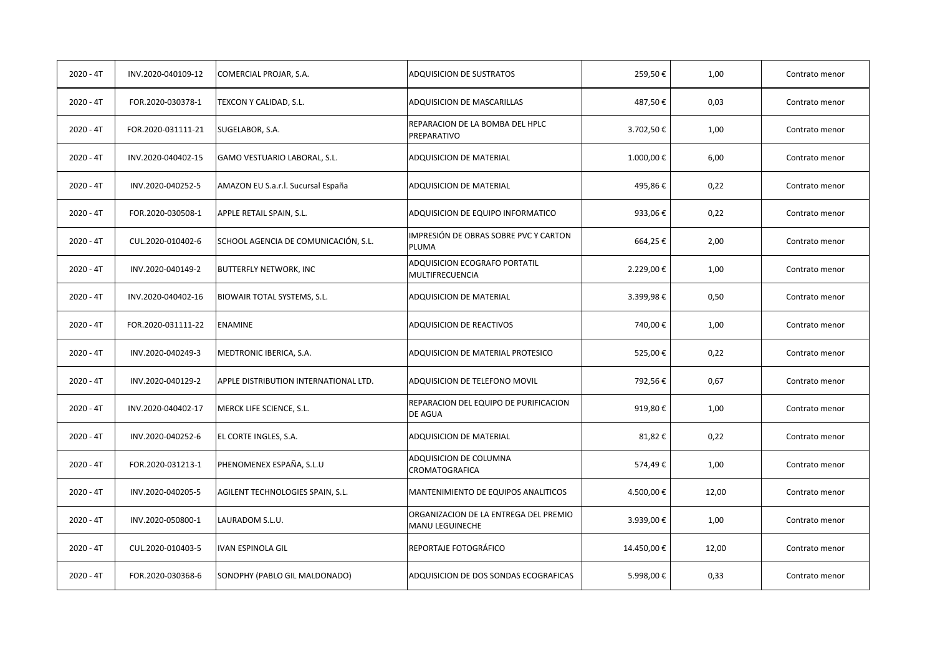| $2020 - 4T$ | INV.2020-040109-12 | COMERCIAL PROJAR, S.A.                | <b>ADQUISICION DE SUSTRATOS</b>                          | 259,50€    | 1,00  | Contrato menor |
|-------------|--------------------|---------------------------------------|----------------------------------------------------------|------------|-------|----------------|
| $2020 - 4T$ | FOR.2020-030378-1  | TEXCON Y CALIDAD, S.L.                | ADQUISICION DE MASCARILLAS                               | 487,50€    | 0,03  | Contrato menor |
| $2020 - 4T$ | FOR.2020-031111-21 | SUGELABOR, S.A.                       | REPARACION DE LA BOMBA DEL HPLC<br>PREPARATIVO           | 3.702,50€  | 1,00  | Contrato menor |
| $2020 - 4T$ | INV.2020-040402-15 | GAMO VESTUARIO LABORAL, S.L.          | ADQUISICION DE MATERIAL                                  | 1.000,00€  | 6,00  | Contrato menor |
| $2020 - 4T$ | INV.2020-040252-5  | AMAZON EU S.a.r.l. Sucursal España    | ADQUISICION DE MATERIAL                                  | 495,86€    | 0,22  | Contrato menor |
| $2020 - 4T$ | FOR.2020-030508-1  | APPLE RETAIL SPAIN, S.L.              | ADQUISICION DE EQUIPO INFORMATICO                        | 933,06€    | 0,22  | Contrato menor |
| $2020 - 4T$ | CUL.2020-010402-6  | SCHOOL AGENCIA DE COMUNICACIÓN, S.L.  | IMPRESIÓN DE OBRAS SOBRE PVC Y CARTON<br>PLUMA           | 664,25€    | 2,00  | Contrato menor |
| $2020 - 4T$ | INV.2020-040149-2  | <b>BUTTERFLY NETWORK, INC</b>         | ADQUISICION ECOGRAFO PORTATIL<br>MULTIFRECUENCIA         | 2.229,00€  | 1,00  | Contrato menor |
| $2020 - 4T$ | INV.2020-040402-16 | <b>BIOWAIR TOTAL SYSTEMS, S.L.</b>    | ADQUISICION DE MATERIAL                                  | 3.399,98€  | 0,50  | Contrato menor |
| $2020 - 4T$ | FOR.2020-031111-22 | <b>ENAMINE</b>                        | ADQUISICION DE REACTIVOS                                 | 740,00€    | 1,00  | Contrato menor |
| $2020 - 4T$ | INV.2020-040249-3  | MEDTRONIC IBERICA, S.A.               | ADQUISICION DE MATERIAL PROTESICO                        | 525,00€    | 0,22  | Contrato menor |
| $2020 - 4T$ | INV.2020-040129-2  | APPLE DISTRIBUTION INTERNATIONAL LTD. | ADQUISICION DE TELEFONO MOVIL                            | 792,56€    | 0,67  | Contrato menor |
| $2020 - 4T$ | INV.2020-040402-17 | MERCK LIFE SCIENCE, S.L.              | REPARACION DEL EQUIPO DE PURIFICACION<br>DE AGUA         | 919,80€    | 1,00  | Contrato menor |
| $2020 - 4T$ | INV.2020-040252-6  | EL CORTE INGLES, S.A.                 | ADQUISICION DE MATERIAL                                  | 81,82€     | 0,22  | Contrato menor |
| $2020 - 4T$ | FOR.2020-031213-1  | PHENOMENEX ESPAÑA, S.L.U              | ADQUISICION DE COLUMNA<br>CROMATOGRAFICA                 | 574,49€    | 1,00  | Contrato menor |
| $2020 - 4T$ | INV.2020-040205-5  | AGILENT TECHNOLOGIES SPAIN, S.L.      | MANTENIMIENTO DE EQUIPOS ANALITICOS                      | 4.500,00€  | 12,00 | Contrato menor |
| $2020 - 4T$ | INV.2020-050800-1  | LAURADOM S.L.U.                       | ORGANIZACION DE LA ENTREGA DEL PREMIO<br>MANU LEGUINECHE | 3.939,00€  | 1,00  | Contrato menor |
| $2020 - 4T$ | CUL.2020-010403-5  | <b>IVAN ESPINOLA GIL</b>              | REPORTAJE FOTOGRÁFICO                                    | 14.450,00€ | 12,00 | Contrato menor |
| $2020 - 4T$ | FOR.2020-030368-6  | SONOPHY (PABLO GIL MALDONADO)         | ADQUISICION DE DOS SONDAS ECOGRAFICAS                    | 5.998,00€  | 0,33  | Contrato menor |